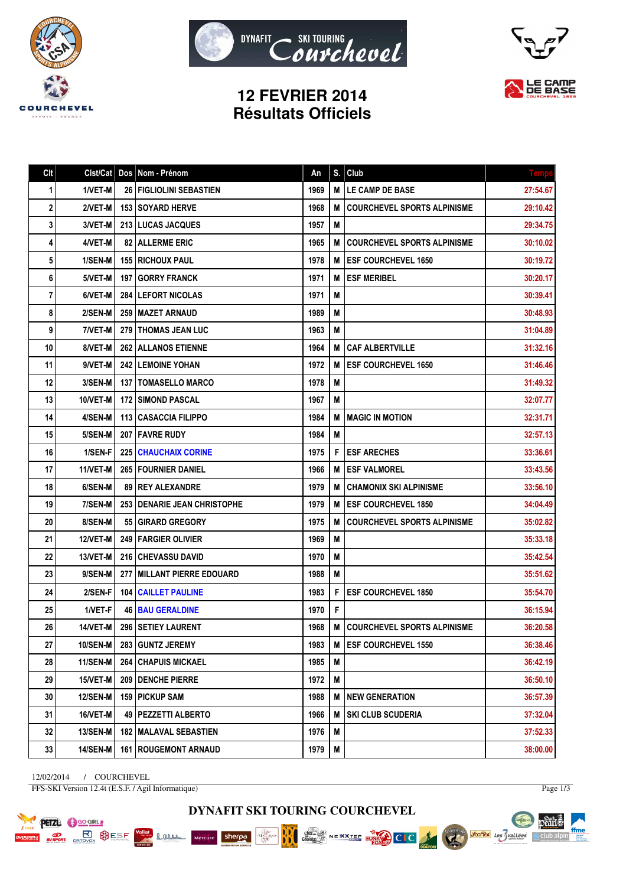





## **12 FEVRIER 2014 Résultats Officiels**

| Clt | Clst/Cat        |     | Dos   Nom - Prénom               | An   | S. | Club                               | <b>Temps</b> |
|-----|-----------------|-----|----------------------------------|------|----|------------------------------------|--------------|
| 1   | 1/VET-M         |     | <b>26   FIGLIOLINI SEBASTIEN</b> | 1969 | М  | LE CAMP DE BASE                    | 27:54.67     |
| 2   | 2/VET-M         |     | <b>153 I SOYARD HERVE</b>        | 1968 | M  | <b>COURCHEVEL SPORTS ALPINISME</b> | 29:10.42     |
| 3   | 3/VET-M         |     | 213   LUCAS JACQUES              | 1957 | M  |                                    | 29:34.75     |
| 4   | 4/VET-M         |     | <b>82   ALLERME ERIC</b>         | 1965 | M  | <b>COURCHEVEL SPORTS ALPINISME</b> | 30:10.02     |
| 5   | 1/SEN-M         |     | <b>155   RICHOUX PAUL</b>        | 1978 | M  | <b>ESF COURCHEVEL 1650</b>         | 30:19.72     |
| 6   | 5/VET-M         | 197 | <b>GORRY FRANCK</b>              | 1971 | М  | <b>ESF MERIBEL</b>                 | 30:20.17     |
| 7   | 6/VET-M         |     | <b>284 LEFORT NICOLAS</b>        | 1971 | M  |                                    | 30:39.41     |
| 8   | 2/SEN-M         |     | 259   MAZET ARNAUD               | 1989 | M  |                                    | 30:48.93     |
| 9   | 7/VET-M         |     | <b>279 ITHOMAS JEAN LUC</b>      | 1963 | М  |                                    | 31:04.89     |
| 10  | 8/VET-M         |     | 262 ALLANOS ETIENNE              | 1964 | М  | <b>CAF ALBERTVILLE</b>             | 31:32.16     |
| 11  | 9/VET-M         |     | <b>242   LEMOINE YOHAN</b>       | 1972 | M  | <b>ESF COURCHEVEL 1650</b>         | 31:46.46     |
| 12  | 3/SEN-M         |     | <b>137 I TOMASELLO MARCO</b>     | 1978 | М  |                                    | 31:49.32     |
| 13  | 10/VET-M        |     | <b>172   SIMOND PASCAL</b>       | 1967 | M  |                                    | 32:07.77     |
| 14  | 4/SEN-M         |     | <b>113   CASACCIA FILIPPO</b>    | 1984 | М  | <b>MAGIC IN MOTION</b>             | 32:31.71     |
| 15  | 5/SEN-M         |     | <b>207 IFAVRE RUDY</b>           | 1984 | M  |                                    | 32:57.13     |
| 16  | 1/SEN-F         |     | <b>225 CHAUCHAIX CORINE</b>      | 1975 | F  | <b>ESF ARECHES</b>                 | 33:36.61     |
| 17  | 11/VET-M        |     | <b>265   FOURNIER DANIEL</b>     | 1966 | M  | <b>ESF VALMOREL</b>                | 33:43.56     |
| 18  | 6/SEN-M         |     | <b>89 IREY ALEXANDRE</b>         | 1979 | М  | <b>CHAMONIX SKI ALPINISME</b>      | 33:56.10     |
| 19  | 7/SEN-M         |     | 253   DENARIE JEAN CHRISTOPHE    | 1979 | M  | <b>ESF COURCHEVEL 1850</b>         | 34:04.49     |
| 20  | 8/SEN-M         |     | 55 GIRARD GREGORY                | 1975 | M  | <b>COURCHEVEL SPORTS ALPINISME</b> | 35:02.82     |
| 21  | 12/VET-M        |     | 249   FARGIER OLIVIER            | 1969 | M  |                                    | 35:33.18     |
| 22  | 13/VET-M        |     | 216 CHEVASSU DAVID               | 1970 | M  |                                    | 35:42.54     |
| 23  | 9/SEN-M         |     | 277   MILLANT PIERRE EDOUARD     | 1988 | M  |                                    | 35:51.62     |
| 24  | 2/SEN-F         |     | <b>104 CAILLET PAULINE</b>       | 1983 | F  | <b>ESF COURCHEVEL 1850</b>         | 35:54.70     |
| 25  | 1/VET-F         |     | <b>46   BAU GERALDINE</b>        | 1970 | F  |                                    | 36:15.94     |
| 26  | 14/VET-M        |     | 296 SETIEY LAURENT               | 1968 | M  | <b>COURCHEVEL SPORTS ALPINISME</b> | 36:20.58     |
| 27  | 10/SEN-M        |     | 283 GUNTZ JEREMY                 | 1983 | M  | <b>ESF COURCHEVEL 1550</b>         | 36:38.46     |
| 28  | 11/SEN-M        |     | 264 CHAPUIS MICKAEL              | 1985 | M  |                                    | 36:42.19     |
| 29  | 15/VET-M        |     | 209   DENCHE PIERRE              | 1972 | M  |                                    | 36:50.10     |
| 30  | <b>12/SEN-M</b> |     | 159   PICKUP SAM                 | 1988 | M  | <b>NEW GENERATION</b>              | 36:57.39     |
| 31  | 16/VET-M        |     | 49   PEZZETTI ALBERTO            | 1966 | М  | <b>SKI CLUB SCUDERIA</b>           | 37:32.04     |
| 32  | <b>13/SEN-M</b> |     | <b>182   MALAVAL SEBASTIEN</b>   | 1976 | M  |                                    | 37:52.33     |
| 33  | 14/SEN-M        |     | <b>161   ROUGEMONT ARNAUD</b>    | 1979 | M  |                                    | 38:00.00     |

12/02/2014 / COURCHEVEL FFS-SKI Version 12.4t (E.S.F. / Agil Informatique)

**PETZL C** GO-GIRL

**PORT BUSE OF STRANGE SESP** 

**Lame** 

Page  $1/3$ 

pêart.

 $\mathbb{A}$  club alpin

ffme

Voules des Svallées

**DYNAFIT SKI TOURING COURCHEVEL**

chez.<br>Gaulois

NEXXTEE EUROPE CLC

RK

**NAME** 

sherpa

Mercure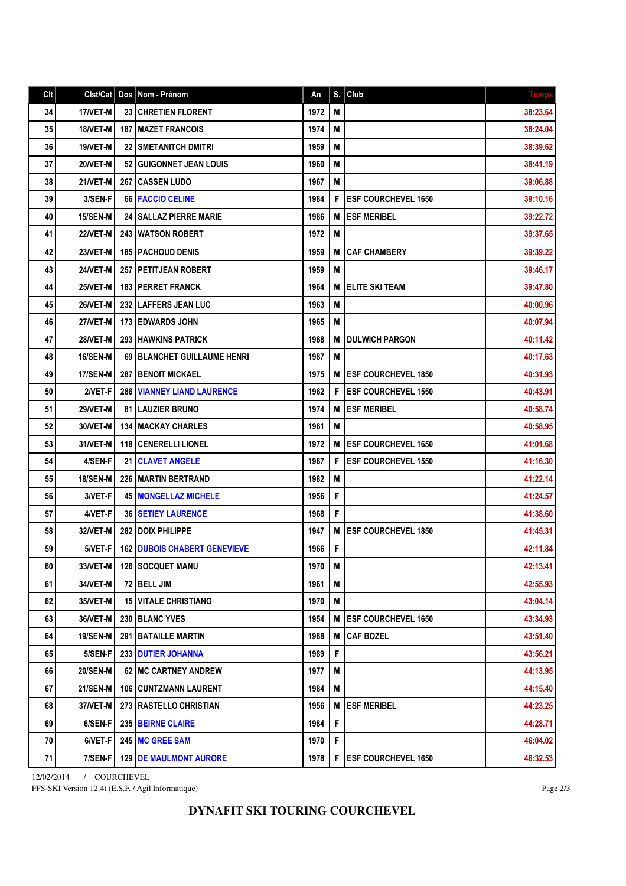| 17/VET-M<br>1972<br>34<br>23 CHRETIEN FLORENT<br>M<br>18/VET-M<br>1974<br>M<br>35<br><b>187 I MAZET FRANCOIS</b><br>36<br>19/VET-M<br><b>22   SMETANITCH DMITRI</b><br>1959<br>M<br>M<br>37<br>20/VET-M<br>52 GUIGONNET JEAN LOUIS<br>1960<br>38<br>21/VET-M<br>1967<br>M<br><b>267   CASSEN LUDO</b><br>3/SEN-F<br>F<br><b>ESF COURCHEVEL 1650</b><br>39<br>66 FACCIO CELINE<br>1984<br>15/SEN-M<br><b>24 SALLAZ PIERRE MARIE</b><br>1986<br><b>ESF MERIBEL</b><br>40<br>M<br>M<br>41<br><b>22/VET-M</b><br><b>243   WATSON ROBERT</b><br>1972<br>42<br>23/VET-M<br><b>185   PACHOUD DENIS</b><br>1959<br>M<br><b>CAF CHAMBERY</b><br>43<br>24/VET-M<br>257 PETITJEAN ROBERT<br>1959<br>M<br><b>ELITE SKI TEAM</b><br>25/VET-M<br><b>183 PERRET FRANCK</b><br>1964<br>M<br>44<br>45<br>26/VET-M<br><b>232 I LAFFERS JEAN LUC</b><br>1963<br>M<br>M<br>27/VET-M<br>173 EDWARDS JOHN<br>1965<br>46<br>47<br><b>28/VET-M</b><br>293 HAWKINS PATRICK<br>1968<br>M<br><b>DULWICH PARGON</b><br><b>16/SEN-M</b><br>M<br>48<br>69   BLANCHET GUILLAUME HENRI<br>1987<br>49<br>17/SEN-M<br>287   BENOIT MICKAEL<br>1975<br><b>ESF COURCHEVEL 1850</b><br>M<br>50<br>2/VET-F<br>1962<br>F<br><b>ESF COURCHEVEL 1550</b><br><b>286   VIANNEY LIAND LAURENCE</b><br>51<br><b>29/VET-M</b><br>1974<br><b>ESF MERIBEL</b><br><b>81   LAUZIER BRUNO</b><br>M<br>52<br>30/VET-M<br><b>134   MACKAY CHARLES</b><br>1961<br>M |          |
|---------------------------------------------------------------------------------------------------------------------------------------------------------------------------------------------------------------------------------------------------------------------------------------------------------------------------------------------------------------------------------------------------------------------------------------------------------------------------------------------------------------------------------------------------------------------------------------------------------------------------------------------------------------------------------------------------------------------------------------------------------------------------------------------------------------------------------------------------------------------------------------------------------------------------------------------------------------------------------------------------------------------------------------------------------------------------------------------------------------------------------------------------------------------------------------------------------------------------------------------------------------------------------------------------------------------------------------------------------------------------------------------------------------|----------|
|                                                                                                                                                                                                                                                                                                                                                                                                                                                                                                                                                                                                                                                                                                                                                                                                                                                                                                                                                                                                                                                                                                                                                                                                                                                                                                                                                                                                               | 38:23.64 |
|                                                                                                                                                                                                                                                                                                                                                                                                                                                                                                                                                                                                                                                                                                                                                                                                                                                                                                                                                                                                                                                                                                                                                                                                                                                                                                                                                                                                               | 38:24.04 |
|                                                                                                                                                                                                                                                                                                                                                                                                                                                                                                                                                                                                                                                                                                                                                                                                                                                                                                                                                                                                                                                                                                                                                                                                                                                                                                                                                                                                               | 38:39.62 |
|                                                                                                                                                                                                                                                                                                                                                                                                                                                                                                                                                                                                                                                                                                                                                                                                                                                                                                                                                                                                                                                                                                                                                                                                                                                                                                                                                                                                               | 38:41.19 |
|                                                                                                                                                                                                                                                                                                                                                                                                                                                                                                                                                                                                                                                                                                                                                                                                                                                                                                                                                                                                                                                                                                                                                                                                                                                                                                                                                                                                               | 39:06.88 |
|                                                                                                                                                                                                                                                                                                                                                                                                                                                                                                                                                                                                                                                                                                                                                                                                                                                                                                                                                                                                                                                                                                                                                                                                                                                                                                                                                                                                               | 39:10.16 |
|                                                                                                                                                                                                                                                                                                                                                                                                                                                                                                                                                                                                                                                                                                                                                                                                                                                                                                                                                                                                                                                                                                                                                                                                                                                                                                                                                                                                               | 39:22.72 |
|                                                                                                                                                                                                                                                                                                                                                                                                                                                                                                                                                                                                                                                                                                                                                                                                                                                                                                                                                                                                                                                                                                                                                                                                                                                                                                                                                                                                               | 39:37.65 |
|                                                                                                                                                                                                                                                                                                                                                                                                                                                                                                                                                                                                                                                                                                                                                                                                                                                                                                                                                                                                                                                                                                                                                                                                                                                                                                                                                                                                               | 39:39.22 |
|                                                                                                                                                                                                                                                                                                                                                                                                                                                                                                                                                                                                                                                                                                                                                                                                                                                                                                                                                                                                                                                                                                                                                                                                                                                                                                                                                                                                               | 39:46.17 |
|                                                                                                                                                                                                                                                                                                                                                                                                                                                                                                                                                                                                                                                                                                                                                                                                                                                                                                                                                                                                                                                                                                                                                                                                                                                                                                                                                                                                               | 39:47.80 |
|                                                                                                                                                                                                                                                                                                                                                                                                                                                                                                                                                                                                                                                                                                                                                                                                                                                                                                                                                                                                                                                                                                                                                                                                                                                                                                                                                                                                               | 40:00.96 |
|                                                                                                                                                                                                                                                                                                                                                                                                                                                                                                                                                                                                                                                                                                                                                                                                                                                                                                                                                                                                                                                                                                                                                                                                                                                                                                                                                                                                               | 40:07.94 |
|                                                                                                                                                                                                                                                                                                                                                                                                                                                                                                                                                                                                                                                                                                                                                                                                                                                                                                                                                                                                                                                                                                                                                                                                                                                                                                                                                                                                               | 40:11.42 |
|                                                                                                                                                                                                                                                                                                                                                                                                                                                                                                                                                                                                                                                                                                                                                                                                                                                                                                                                                                                                                                                                                                                                                                                                                                                                                                                                                                                                               | 40:17.63 |
|                                                                                                                                                                                                                                                                                                                                                                                                                                                                                                                                                                                                                                                                                                                                                                                                                                                                                                                                                                                                                                                                                                                                                                                                                                                                                                                                                                                                               | 40:31.93 |
|                                                                                                                                                                                                                                                                                                                                                                                                                                                                                                                                                                                                                                                                                                                                                                                                                                                                                                                                                                                                                                                                                                                                                                                                                                                                                                                                                                                                               | 40:43.91 |
|                                                                                                                                                                                                                                                                                                                                                                                                                                                                                                                                                                                                                                                                                                                                                                                                                                                                                                                                                                                                                                                                                                                                                                                                                                                                                                                                                                                                               | 40:58.74 |
|                                                                                                                                                                                                                                                                                                                                                                                                                                                                                                                                                                                                                                                                                                                                                                                                                                                                                                                                                                                                                                                                                                                                                                                                                                                                                                                                                                                                               | 40:58.95 |
| <b>ESF COURCHEVEL 1650</b><br>53<br>31/VET-M<br><b>118   CENERELLI LIONEL</b><br>1972<br>M                                                                                                                                                                                                                                                                                                                                                                                                                                                                                                                                                                                                                                                                                                                                                                                                                                                                                                                                                                                                                                                                                                                                                                                                                                                                                                                    | 41:01.68 |
| F<br>4/SEN-F<br><b>CLAVET ANGELE</b><br>1987<br><b>ESF COURCHEVEL 1550</b><br>54<br>21                                                                                                                                                                                                                                                                                                                                                                                                                                                                                                                                                                                                                                                                                                                                                                                                                                                                                                                                                                                                                                                                                                                                                                                                                                                                                                                        | 41:16.30 |
| 55<br><b>18/SEN-M</b><br><b>226 IMARTIN BERTRAND</b><br>1982<br>M                                                                                                                                                                                                                                                                                                                                                                                                                                                                                                                                                                                                                                                                                                                                                                                                                                                                                                                                                                                                                                                                                                                                                                                                                                                                                                                                             | 41:22.14 |
| F<br>3/VET-F<br>56<br><b>45   MONGELLAZ MICHELE</b><br>1956                                                                                                                                                                                                                                                                                                                                                                                                                                                                                                                                                                                                                                                                                                                                                                                                                                                                                                                                                                                                                                                                                                                                                                                                                                                                                                                                                   | 41:24.57 |
| F<br>57<br>4/VET-F<br><b>36   SETIEY LAURENCE</b><br>1968                                                                                                                                                                                                                                                                                                                                                                                                                                                                                                                                                                                                                                                                                                                                                                                                                                                                                                                                                                                                                                                                                                                                                                                                                                                                                                                                                     | 41:38.60 |
| 58<br>32/VET-M<br><b>282 IDOIX PHILIPPE</b><br>1947<br><b>ESF COURCHEVEL 1850</b><br>M                                                                                                                                                                                                                                                                                                                                                                                                                                                                                                                                                                                                                                                                                                                                                                                                                                                                                                                                                                                                                                                                                                                                                                                                                                                                                                                        | 41:45.31 |
| F<br>59<br>5/VET-F<br><b>162 DUBOIS CHABERT GENEVIEVE</b><br>1966                                                                                                                                                                                                                                                                                                                                                                                                                                                                                                                                                                                                                                                                                                                                                                                                                                                                                                                                                                                                                                                                                                                                                                                                                                                                                                                                             | 42:11.84 |
| 1970<br>60<br>33/VET-M<br>126   SOCQUET MANU<br>M                                                                                                                                                                                                                                                                                                                                                                                                                                                                                                                                                                                                                                                                                                                                                                                                                                                                                                                                                                                                                                                                                                                                                                                                                                                                                                                                                             | 42:13.41 |
| 72 BELL JIM<br>1961<br>61<br>34/VET-M<br>M                                                                                                                                                                                                                                                                                                                                                                                                                                                                                                                                                                                                                                                                                                                                                                                                                                                                                                                                                                                                                                                                                                                                                                                                                                                                                                                                                                    | 42:55.93 |
| 62<br>35/VET-M<br><b>15 VITALE CHRISTIANO</b><br>1970<br>M                                                                                                                                                                                                                                                                                                                                                                                                                                                                                                                                                                                                                                                                                                                                                                                                                                                                                                                                                                                                                                                                                                                                                                                                                                                                                                                                                    | 43:04.14 |
| 63<br><b>ESF COURCHEVEL 1650</b><br>36/VET-M<br><b>230 IBLANC YVES</b><br>1954<br>M                                                                                                                                                                                                                                                                                                                                                                                                                                                                                                                                                                                                                                                                                                                                                                                                                                                                                                                                                                                                                                                                                                                                                                                                                                                                                                                           | 43:34.93 |
| 64<br>19/SEN-M<br>291   BATAILLE MARTIN<br>1988<br>M<br><b>CAF BOZEL</b>                                                                                                                                                                                                                                                                                                                                                                                                                                                                                                                                                                                                                                                                                                                                                                                                                                                                                                                                                                                                                                                                                                                                                                                                                                                                                                                                      | 43:51.40 |
| F<br>5/SEN-F<br>233 DUTIER JOHANNA<br>65<br>1989                                                                                                                                                                                                                                                                                                                                                                                                                                                                                                                                                                                                                                                                                                                                                                                                                                                                                                                                                                                                                                                                                                                                                                                                                                                                                                                                                              | 43:56.21 |
| 66<br><b>20/SEN-M</b><br>62 MC CARTNEY ANDREW<br>1977<br>M                                                                                                                                                                                                                                                                                                                                                                                                                                                                                                                                                                                                                                                                                                                                                                                                                                                                                                                                                                                                                                                                                                                                                                                                                                                                                                                                                    | 44:13.95 |
| 106 CUNTZMANN LAURENT<br>M<br>67<br><b>21/SEN-M</b><br>1984                                                                                                                                                                                                                                                                                                                                                                                                                                                                                                                                                                                                                                                                                                                                                                                                                                                                                                                                                                                                                                                                                                                                                                                                                                                                                                                                                   | 44:15.40 |
| 68<br>37/VET-M<br>273   RASTELLO CHRISTIAN<br><b>ESF MERIBEL</b><br>1956<br>M                                                                                                                                                                                                                                                                                                                                                                                                                                                                                                                                                                                                                                                                                                                                                                                                                                                                                                                                                                                                                                                                                                                                                                                                                                                                                                                                 | 44:23.25 |
| F<br>69<br>6/SEN-F<br>235 BEIRNE CLAIRE<br>1984                                                                                                                                                                                                                                                                                                                                                                                                                                                                                                                                                                                                                                                                                                                                                                                                                                                                                                                                                                                                                                                                                                                                                                                                                                                                                                                                                               | 44:28.71 |
| 6/VET-F<br>F<br>70<br>245 MC GREE SAM<br>1970                                                                                                                                                                                                                                                                                                                                                                                                                                                                                                                                                                                                                                                                                                                                                                                                                                                                                                                                                                                                                                                                                                                                                                                                                                                                                                                                                                 | 46:04.02 |
| 71<br>7/SEN-F<br><b>129   DE MAULMONT AURORE</b><br>F<br><b>ESF COURCHEVEL 1650</b><br>1978                                                                                                                                                                                                                                                                                                                                                                                                                                                                                                                                                                                                                                                                                                                                                                                                                                                                                                                                                                                                                                                                                                                                                                                                                                                                                                                   | 46:32.53 |

12/02/2014 / COURCHEVEL FFS-SKI Version 12.4t (E.S.F. / Agil Informatique)

Page 2/3

## **DYNAFIT SKI TOURING COURCHEVEL**